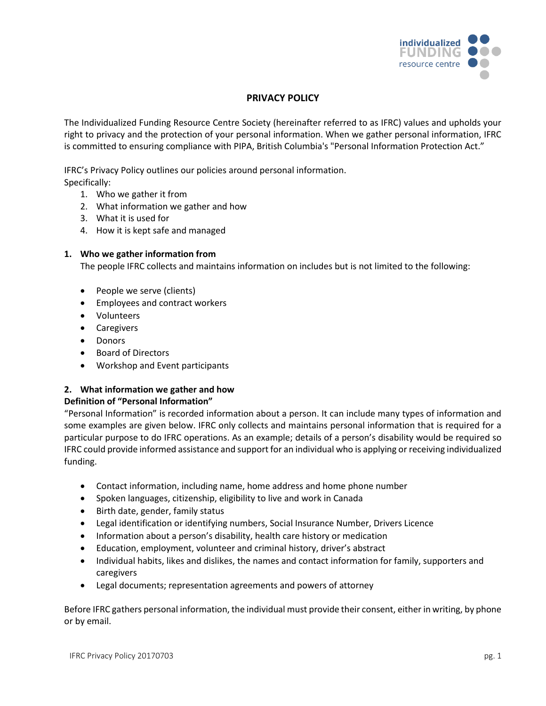

## **PRIVACY POLICY**

The Individualized Funding Resource Centre Society (hereinafter referred to as IFRC) values and upholds your right to privacy and the protection of your personal information. When we gather personal information, IFRC is committed to ensuring compliance with PIPA, British Columbia's "Personal Information Protection Act."

IFRC's Privacy Policy outlines our policies around personal information. Specifically:

- 1. Who we gather it from
- 2. What information we gather and how
- 3. What it is used for
- 4. How it is kept safe and managed

### **1. Who we gather information from**

The people IFRC collects and maintains information on includes but is not limited to the following:

- People we serve (clients)
- Employees and contract workers
- Volunteers
- Caregivers
- Donors
- Board of Directors
- Workshop and Event participants

# **2. What information we gather and how**

## **Definition of "Personal Information"**

"Personal Information" is recorded information about a person. It can include many types of information and some examples are given below. IFRC only collects and maintains personal information that is required for a particular purpose to do IFRC operations. As an example; details of a person's disability would be required so IFRC could provide informed assistance and support for an individual who is applying or receiving individualized funding.

- Contact information, including name, home address and home phone number
- Spoken languages, citizenship, eligibility to live and work in Canada
- Birth date, gender, family status
- Legal identification or identifying numbers, Social Insurance Number, Drivers Licence
- Information about a person's disability, health care history or medication
- Education, employment, volunteer and criminal history, driver's abstract
- Individual habits, likes and dislikes, the names and contact information for family, supporters and caregivers
- Legal documents; representation agreements and powers of attorney

Before IFRC gathers personal information, the individual must provide their consent, either in writing, by phone or by email.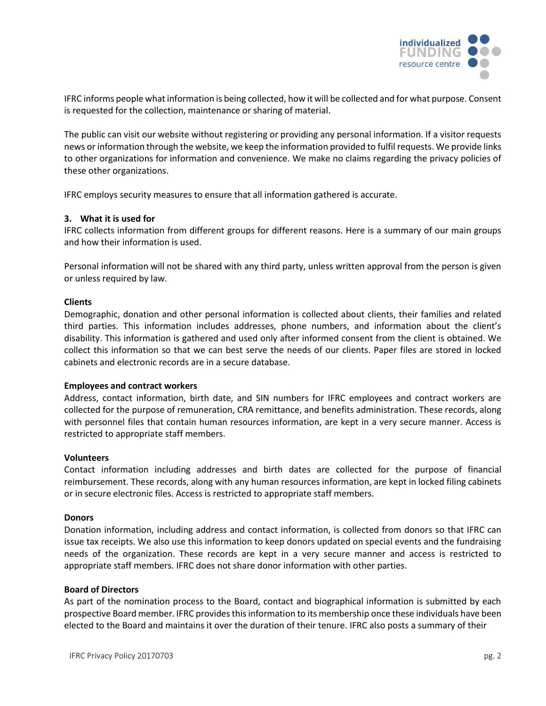

IFRC informs people what information is being collected, how it will be collected and for what purpose. Consent is requested for the collection, maintenance or sharing of material.

The public can visit our website without registering or providing any personal information. If a visitor requests news or information through the website, we keep the information provided to fulfil requests. We provide links to other organizations for information and convenience. We make no claims regarding the privacy policies of these other organizations.

IFRC employs security measures to ensure that all information gathered is accurate.

#### **3. What it is used for**

IFRC collects information from different groups for different reasons. Here is a summary of our main groups and how their information is used.

Personal information will not be shared with any third party, unless written approval from the person is given or unless required by law.

#### **Clients**

Demographic, donation and other personal information is collected about clients, their families and related third parties. This information includes addresses, phone numbers, and information about the client's disability. This information is gathered and used only after informed consent from the client is obtained. We collect this information so that we can best serve the needs of our clients. Paper files are stored in locked cabinets and electronic records are in a secure database.

#### **Employees and contract workers**

Address, contact information, birth date, and SIN numbers for IFRC employees and contract workers are collected for the purpose of remuneration, CRA remittance, and benefits administration. These records, along with personnel files that contain human resources information, are kept in a very secure manner. Access is restricted to appropriate staff members.

#### **Volunteers**

Contact information including addresses and birth dates are collected for the purpose of financial reimbursement. These records, along with any human resources information, are kept in locked filing cabinets or in secure electronic files. Access is restricted to appropriate staff members.

#### **Donors**

Donation information, including address and contact information, is collected from donors so that IFRC can issue tax receipts. We also use this information to keep donors updated on special events and the fundraising needs of the organization. These records are kept in a very secure manner and access is restricted to appropriate staff members. IFRC does not share donor information with other parties.

#### **Board of Directors**

As part of the nomination process to the Board, contact and biographical information is submitted by each prospective Board member. IFRC provides this information to its membership once these individuals have been elected to the Board and maintains it over the duration of their tenure. IFRC also posts a summary of their